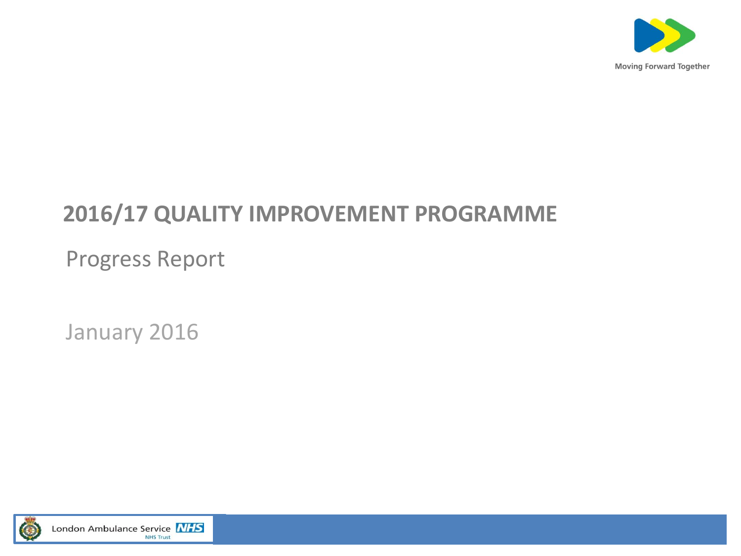

#### **2016/17 QUALITY IMPROVEMENT PROGRAMME**

Progress Report

January 2016

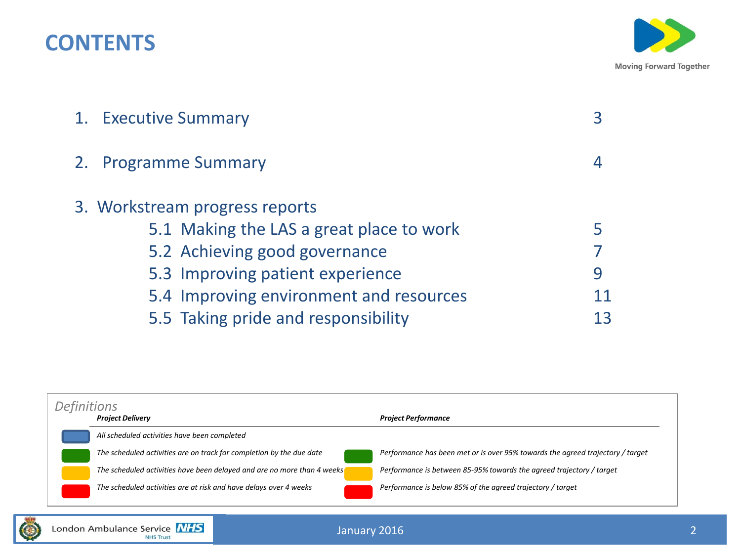#### **CONTENTS**



| 1. Executive Summary                     |    |
|------------------------------------------|----|
| 2. Programme Summary                     |    |
| 3. Workstream progress reports           |    |
| 5.1 Making the LAS a great place to work |    |
| 5.2 Achieving good governance            |    |
| 5.3 Improving patient experience         | 9  |
| 5.4 Improving environment and resources  |    |
| 5.5 Taking pride and responsibility      | 13 |

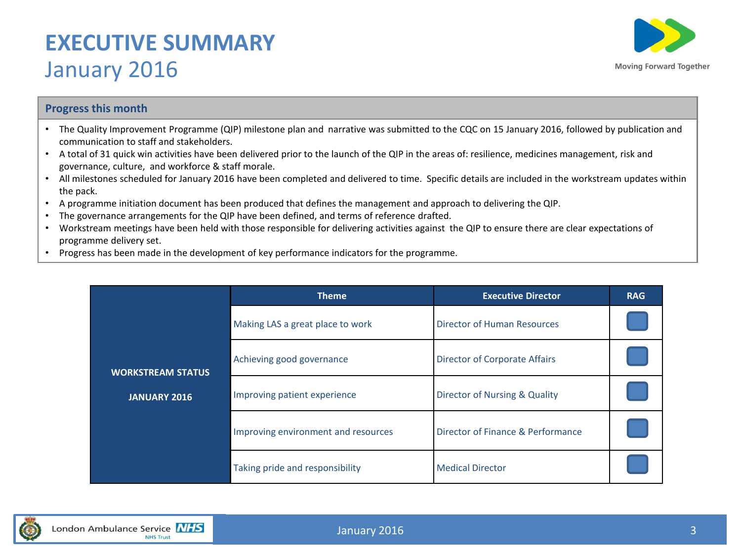#### **EXECUTIVE SUMMARY**  January 2016



#### **Progress this month**

- The Quality Improvement Programme (QIP) milestone plan and narrative was submitted to the CQC on 15 January 2016, followed by publication and communication to staff and stakeholders.
- A total of 31 quick win activities have been delivered prior to the launch of the QIP in the areas of: resilience, medicines management, risk and governance, culture, and workforce & staff morale.
- All milestones scheduled for January 2016 have been completed and delivered to time. Specific details are included in the workstream updates within the pack.
- A programme initiation document has been produced that defines the management and approach to delivering the QIP.
- The governance arrangements for the QIP have been defined, and terms of reference drafted.
- Workstream meetings have been held with those responsible for delivering activities against the QIP to ensure there are clear expectations of programme delivery set.
- Progress has been made in the development of key performance indicators for the programme.

|                          | <b>Theme</b>                        | <b>Executive Director</b>                | <b>RAG</b> |
|--------------------------|-------------------------------------|------------------------------------------|------------|
|                          | Making LAS a great place to work    | <b>Director of Human Resources</b>       |            |
| <b>WORKSTREAM STATUS</b> | Achieving good governance           | <b>Director of Corporate Affairs</b>     |            |
| <b>JANUARY 2016</b>      | Improving patient experience        | <b>Director of Nursing &amp; Quality</b> |            |
|                          | Improving environment and resources | Director of Finance & Performance        |            |
|                          | Taking pride and responsibility     | <b>Medical Director</b>                  |            |

![](_page_2_Picture_11.jpeg)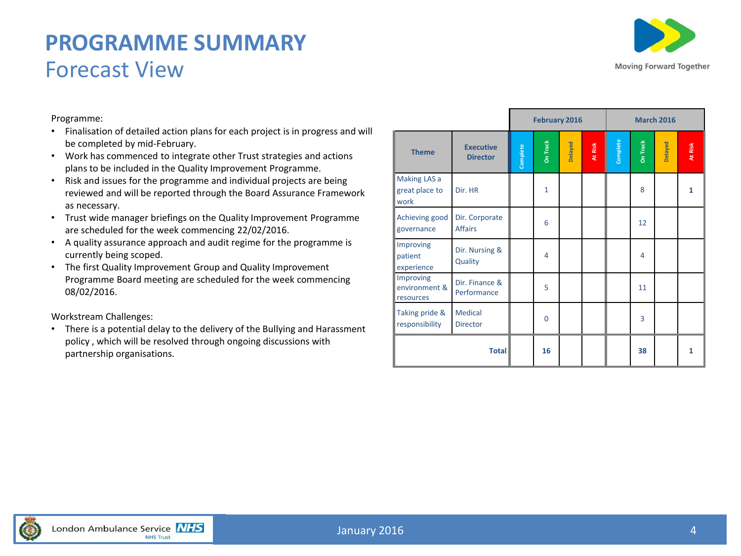#### **PROGRAMME SUMMARY** Forecast View

![](_page_3_Picture_1.jpeg)

Programme:

- Finalisation of detailed action plans for each project is in progress and will be completed by mid-February.
- Work has commenced to integrate other Trust strategies and actions plans to be included in the Quality Improvement Programme.
- Risk and issues for the programme and individual projects are being reviewed and will be reported through the Board Assurance Framework as necessary.
- Trust wide manager briefings on the Quality Improvement Programme are scheduled for the week commencing 22/02/2016.
- A quality assurance approach and audit regime for the programme is currently being scoped.
- The first Quality Improvement Group and Quality Improvement Programme Board meeting are scheduled for the week commencing 08/02/2016.

Workstream Challenges:

• There is a potential delay to the delivery of the Bullying and Harassment policy , which will be resolved through ongoing discussions with partnership organisations.

|                                         |                                     |          | February 2016   |         |         |          |          | <b>March 2016</b> |         |
|-----------------------------------------|-------------------------------------|----------|-----------------|---------|---------|----------|----------|-------------------|---------|
| <b>Theme</b>                            | <b>Executive</b><br><b>Director</b> | Complete | <b>On Track</b> | Delayed | At Risk | Complete | On Track | Delayed           | At Risk |
| Making LAS a<br>great place to<br>work  | Dir. HR                             |          | 1               |         |         |          | 8        |                   | 1       |
| Achieving good<br>governance            | Dir. Corporate<br><b>Affairs</b>    |          | 6               |         |         |          | 12       |                   |         |
| Improving<br>patient<br>experience      | Dir. Nursing &<br>Quality           |          | 4               |         |         |          | 4        |                   |         |
| Improving<br>environment &<br>resources | Dir. Finance &<br>Performance       |          | 5               |         |         |          | 11       |                   |         |
| Taking pride &<br>responsibility        | Medical<br><b>Director</b>          |          | $\Omega$        |         |         |          | 3        |                   |         |
| <b>Total</b>                            |                                     |          | 16              |         |         |          | 38       |                   | 1       |

![](_page_3_Picture_12.jpeg)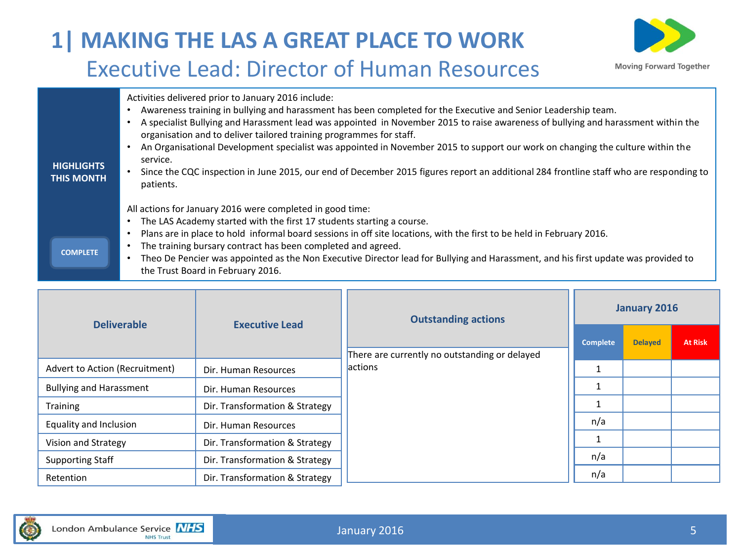### **1| MAKING THE LAS A GREAT PLACE TO WORK** Executive Lead: Director of Human Resources

![](_page_4_Picture_1.jpeg)

| <b>HIGHLIGHTS</b><br><b>THIS MONTH</b> | Activities delivered prior to January 2016 include:<br>Awareness training in bullying and harassment has been completed for the Executive and Senior Leadership team.<br>A specialist Bullying and Harassment lead was appointed in November 2015 to raise awareness of bullying and harassment within the<br>organisation and to deliver tailored training programmes for staff.<br>An Organisational Development specialist was appointed in November 2015 to support our work on changing the culture within the<br>service.<br>Since the CQC inspection in June 2015, our end of December 2015 figures report an additional 284 frontline staff who are responding to<br>patients. |  |
|----------------------------------------|----------------------------------------------------------------------------------------------------------------------------------------------------------------------------------------------------------------------------------------------------------------------------------------------------------------------------------------------------------------------------------------------------------------------------------------------------------------------------------------------------------------------------------------------------------------------------------------------------------------------------------------------------------------------------------------|--|
| <b>COMPLETE</b>                        | All actions for January 2016 were completed in good time:<br>The LAS Academy started with the first 17 students starting a course.<br>$\bullet$<br>Plans are in place to hold informal board sessions in off site locations, with the first to be held in February 2016.<br>The training bursary contract has been completed and agreed.<br>Theo De Pencier was appointed as the Non Executive Director lead for Bullying and Harassment, and his first update was provided to<br>the Trust Board in February 2016.                                                                                                                                                                    |  |

| <b>Deliverable</b>             | <b>Executive Lead</b>          | <b>Outstanding actions</b>                    |              | January 2016   |                |
|--------------------------------|--------------------------------|-----------------------------------------------|--------------|----------------|----------------|
|                                |                                | There are currently no outstanding or delayed | Complete     | <b>Delayed</b> | <b>At Risk</b> |
| Advert to Action (Recruitment) | Dir. Human Resources           | <b>lactions</b>                               |              |                |                |
| <b>Bullying and Harassment</b> | Dir. Human Resources           |                                               | $\mathbf{1}$ |                |                |
| <b>Training</b>                | Dir. Transformation & Strategy |                                               |              |                |                |
| Equality and Inclusion         | Dir. Human Resources           |                                               | n/a          |                |                |
| Vision and Strategy            | Dir. Transformation & Strategy |                                               |              |                |                |
| <b>Supporting Staff</b>        | Dir. Transformation & Strategy |                                               | n/a          |                |                |
| Retention                      | Dir. Transformation & Strategy |                                               | n/a          |                |                |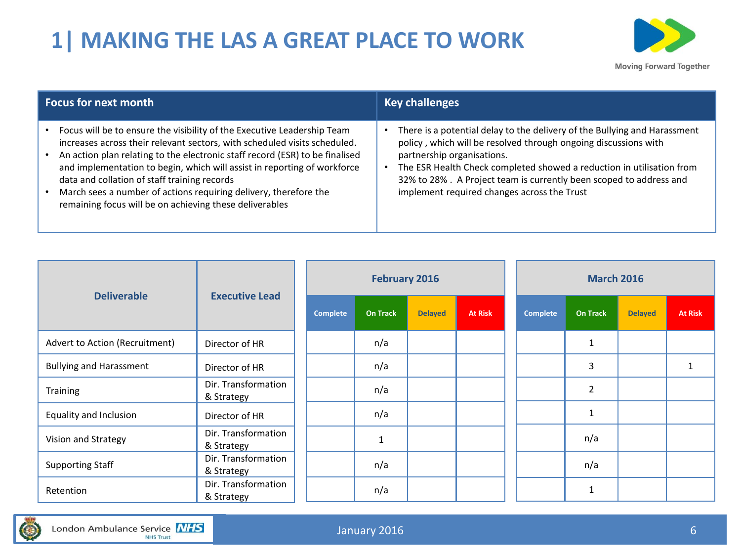## **1| MAKING THE LAS A GREAT PLACE TO WORK**

![](_page_5_Picture_1.jpeg)

| <b>Focus for next month</b>                                                                                                                                                                                                                                                                                                                                                                                                                                                                     | <b>Key challenges</b>                                                                                                                                                                                                                                                                                                                                                    |
|-------------------------------------------------------------------------------------------------------------------------------------------------------------------------------------------------------------------------------------------------------------------------------------------------------------------------------------------------------------------------------------------------------------------------------------------------------------------------------------------------|--------------------------------------------------------------------------------------------------------------------------------------------------------------------------------------------------------------------------------------------------------------------------------------------------------------------------------------------------------------------------|
| Focus will be to ensure the visibility of the Executive Leadership Team<br>increases across their relevant sectors, with scheduled visits scheduled.<br>An action plan relating to the electronic staff record (ESR) to be finalised<br>and implementation to begin, which will assist in reporting of workforce<br>data and collation of staff training records<br>March sees a number of actions requiring delivery, therefore the<br>remaining focus will be on achieving these deliverables | There is a potential delay to the delivery of the Bullying and Harassment<br>policy, which will be resolved through ongoing discussions with<br>partnership organisations.<br>The ESR Health Check completed showed a reduction in utilisation from<br>32% to 28%. A Project team is currently been scoped to address and<br>implement required changes across the Trust |

| <b>Deliverable</b>             | <b>Executive Lead</b>             |                 | <b>February 2016</b> |                |                | <b>March 2016</b> |                 |                |                |
|--------------------------------|-----------------------------------|-----------------|----------------------|----------------|----------------|-------------------|-----------------|----------------|----------------|
|                                |                                   | <b>Complete</b> | <b>On Track</b>      | <b>Delayed</b> | <b>At Risk</b> | <b>Complete</b>   | <b>On Track</b> | <b>Delayed</b> | <b>At Risk</b> |
| Advert to Action (Recruitment) | Director of HR                    |                 | n/a                  |                |                |                   | 1               |                |                |
| <b>Bullying and Harassment</b> | Director of HR                    |                 | n/a                  |                |                |                   | 3               |                |                |
| <b>Training</b>                | Dir. Transformation<br>& Strategy |                 | n/a                  |                |                |                   | 2               |                |                |
| Equality and Inclusion         | Director of HR                    |                 | n/a                  |                |                |                   | 1               |                |                |
| Vision and Strategy            | Dir. Transformation<br>& Strategy |                 | $\mathbf{1}$         |                |                |                   | n/a             |                |                |
| <b>Supporting Staff</b>        | Dir. Transformation<br>& Strategy |                 | n/a                  |                |                |                   | n/a             |                |                |
| Retention                      | Dir. Transformation<br>& Strategy |                 | n/a                  |                |                |                   | $\mathbf{1}$    |                |                |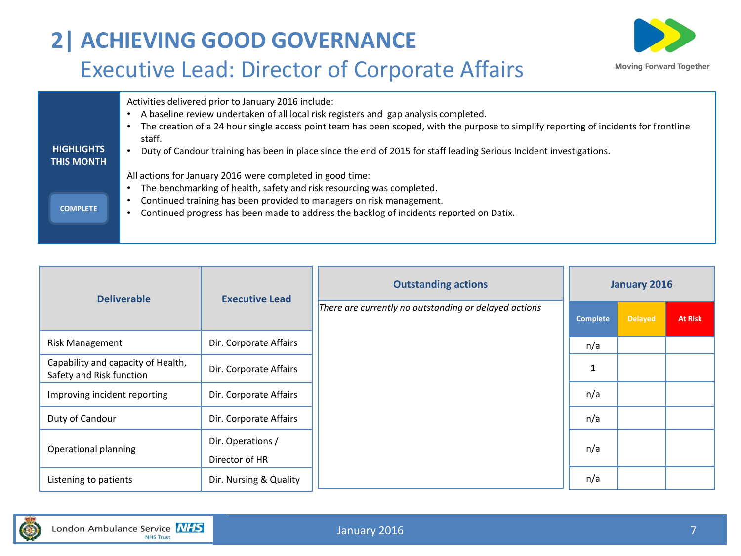# **2| ACHIEVING GOOD GOVERNANCE** Executive Lead: Director of Corporate Affairs

![](_page_6_Picture_1.jpeg)

| <b>HIGHLIGHTS</b><br><b>THIS MONTH</b> | Activities delivered prior to January 2016 include:<br>A baseline review undertaken of all local risk registers and gap analysis completed.<br>The creation of a 24 hour single access point team has been scoped, with the purpose to simplify reporting of incidents for frontline<br>staff.<br>Duty of Candour training has been in place since the end of 2015 for staff leading Serious Incident investigations. |
|----------------------------------------|-----------------------------------------------------------------------------------------------------------------------------------------------------------------------------------------------------------------------------------------------------------------------------------------------------------------------------------------------------------------------------------------------------------------------|
| <b>COMPLETE</b>                        | All actions for January 2016 were completed in good time:<br>The benchmarking of health, safety and risk resourcing was completed.<br>Continued training has been provided to managers on risk management.<br>Continued progress has been made to address the backlog of incidents reported on Datix.                                                                                                                 |

| <b>Deliverable</b>                                             | <b>Executive Lead</b>               | <b>Outstanding actions</b>                            | <b>January 2016</b> |                |                |  |
|----------------------------------------------------------------|-------------------------------------|-------------------------------------------------------|---------------------|----------------|----------------|--|
|                                                                |                                     | There are currently no outstanding or delayed actions | <b>Complete</b>     | <b>Delayed</b> | <b>At Risk</b> |  |
| Risk Management                                                | Dir. Corporate Affairs              |                                                       | n/a                 |                |                |  |
| Capability and capacity of Health,<br>Safety and Risk function | Dir. Corporate Affairs              |                                                       | 1                   |                |                |  |
| Improving incident reporting                                   | Dir. Corporate Affairs              |                                                       | n/a                 |                |                |  |
| Duty of Candour                                                | Dir. Corporate Affairs              |                                                       | n/a                 |                |                |  |
| Operational planning                                           | Dir. Operations /<br>Director of HR |                                                       | n/a                 |                |                |  |
| Listening to patients                                          | Dir. Nursing & Quality              |                                                       | n/a                 |                |                |  |

![](_page_6_Picture_4.jpeg)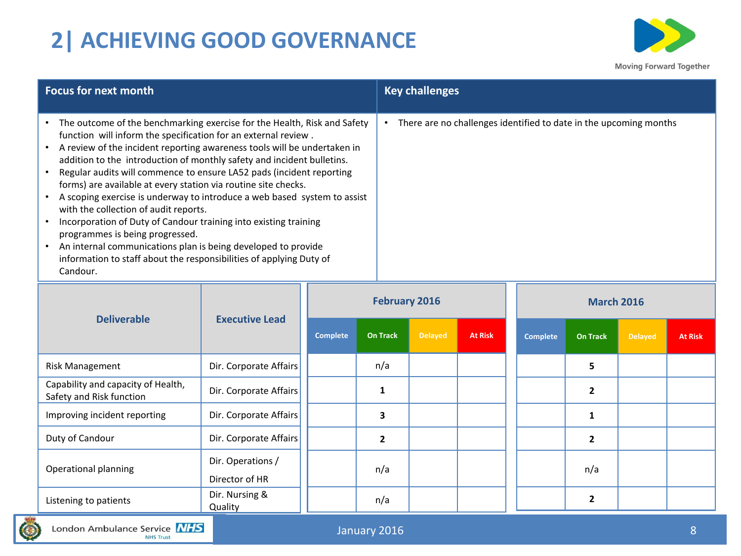# **2| ACHIEVING GOOD GOVERNANCE**

![](_page_7_Picture_1.jpeg)

| Focus for next month                                                                                                                                                                                                                                                                                                                                                                                                                                                                                                                                                                                                                                                                                                                                                                                                         | <b>Key challenges</b>                                             |
|------------------------------------------------------------------------------------------------------------------------------------------------------------------------------------------------------------------------------------------------------------------------------------------------------------------------------------------------------------------------------------------------------------------------------------------------------------------------------------------------------------------------------------------------------------------------------------------------------------------------------------------------------------------------------------------------------------------------------------------------------------------------------------------------------------------------------|-------------------------------------------------------------------|
| • The outcome of the benchmarking exercise for the Health, Risk and Safety<br>function will inform the specification for an external review.<br>A review of the incident reporting awareness tools will be undertaken in<br>addition to the introduction of monthly safety and incident bulletins.<br>Regular audits will commence to ensure LA52 pads (incident reporting<br>forms) are available at every station via routine site checks.<br>A scoping exercise is underway to introduce a web based system to assist<br>with the collection of audit reports.<br>Incorporation of Duty of Candour training into existing training<br>programmes is being progressed.<br>An internal communications plan is being developed to provide<br>information to staff about the responsibilities of applying Duty of<br>Candour. | There are no challenges identified to date in the upcoming months |

|                                                                |                                             | <b>February 2016</b> |                 |                |                | <b>March 2016</b> |                 |                |                |
|----------------------------------------------------------------|---------------------------------------------|----------------------|-----------------|----------------|----------------|-------------------|-----------------|----------------|----------------|
|                                                                | <b>Deliverable</b><br><b>Executive Lead</b> |                      | <b>On Track</b> | <b>Delayed</b> | <b>At Risk</b> | <b>Complete</b>   | <b>On Track</b> | <b>Delayed</b> | <b>At Risk</b> |
| <b>Risk Management</b>                                         | Dir. Corporate Affairs                      |                      | n/a             |                |                |                   | 5               |                |                |
| Capability and capacity of Health,<br>Safety and Risk function | Dir. Corporate Affairs                      |                      |                 |                |                |                   | $\overline{2}$  |                |                |
| Improving incident reporting                                   | Dir. Corporate Affairs                      |                      | 3               |                |                |                   |                 |                |                |
| Duty of Candour                                                | Dir. Corporate Affairs                      |                      | $\overline{2}$  |                |                |                   | $\overline{2}$  |                |                |
| Operational planning                                           | Dir. Operations /<br>Director of HR         |                      | n/a             |                |                |                   | n/a             |                |                |
| Listening to patients                                          | Dir. Nursing &<br>Quality                   |                      | n/a             |                |                |                   | 2               |                |                |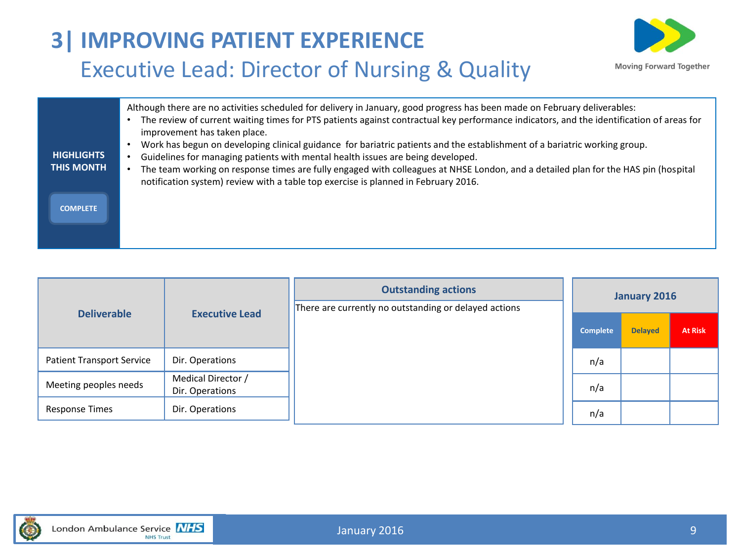# **3| IMPROVING PATIENT EXPERIENCE** Executive Lead: Director of Nursing & Quality

![](_page_8_Picture_1.jpeg)

| <b>HIGHLIGHTS</b><br><b>THIS MONTH</b> | Although there are no activities scheduled for delivery in January, good progress has been made on February deliverables:<br>The review of current waiting times for PTS patients against contractual key performance indicators, and the identification of areas for<br>improvement has taken place.<br>Work has begun on developing clinical guidance for bariatric patients and the establishment of a bariatric working group.<br>Guidelines for managing patients with mental health issues are being developed.<br>The team working on response times are fully engaged with colleagues at NHSE London, and a detailed plan for the HAS pin (hospital<br>notification system) review with a table top exercise is planned in February 2016. |
|----------------------------------------|---------------------------------------------------------------------------------------------------------------------------------------------------------------------------------------------------------------------------------------------------------------------------------------------------------------------------------------------------------------------------------------------------------------------------------------------------------------------------------------------------------------------------------------------------------------------------------------------------------------------------------------------------------------------------------------------------------------------------------------------------|
| <b>COMPLETE</b>                        |                                                                                                                                                                                                                                                                                                                                                                                                                                                                                                                                                                                                                                                                                                                                                   |

|                                  |                                       | <b>Outstanding actions</b><br>There are currently no outstanding or delayed actions |          | <b>January 2016</b> |                |
|----------------------------------|---------------------------------------|-------------------------------------------------------------------------------------|----------|---------------------|----------------|
| <b>Deliverable</b>               | <b>Executive Lead</b>                 |                                                                                     | Complete | <b>Delayed</b>      | <b>At Risk</b> |
| <b>Patient Transport Service</b> | Dir. Operations                       |                                                                                     | n/a      |                     |                |
| Meeting peoples needs            | Medical Director /<br>Dir. Operations |                                                                                     | n/a      |                     |                |
| <b>Response Times</b>            | Dir. Operations                       |                                                                                     | n/a      |                     |                |

![](_page_8_Picture_4.jpeg)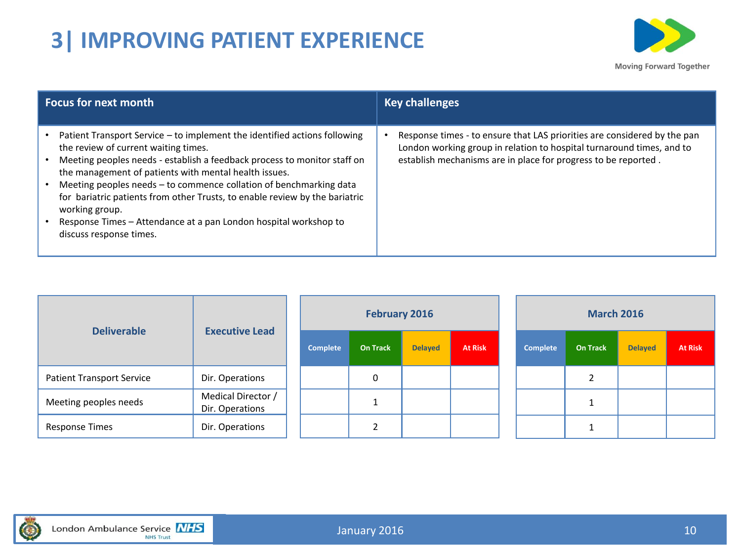## **3| IMPROVING PATIENT EXPERIENCE**

![](_page_9_Picture_1.jpeg)

| <b>Focus for next month</b>                                                                                                                                                                                                                                                                                                                                                                                                                                                                                                  | <b>Key challenges</b>                                                                                                                                                                                               |
|------------------------------------------------------------------------------------------------------------------------------------------------------------------------------------------------------------------------------------------------------------------------------------------------------------------------------------------------------------------------------------------------------------------------------------------------------------------------------------------------------------------------------|---------------------------------------------------------------------------------------------------------------------------------------------------------------------------------------------------------------------|
| Patient Transport Service - to implement the identified actions following<br>the review of current waiting times.<br>Meeting peoples needs - establish a feedback process to monitor staff on<br>the management of patients with mental health issues.<br>Meeting peoples needs - to commence collation of benchmarking data<br>for bariatric patients from other Trusts, to enable review by the bariatric<br>working group.<br>Response Times – Attendance at a pan London hospital workshop to<br>discuss response times. | Response times - to ensure that LAS priorities are considered by the pan<br>London working group in relation to hospital turnaround times, and to<br>establish mechanisms are in place for progress to be reported. |

| <b>Deliverable</b>               | <b>Executive Lead</b>                 |                 | February 2016   |                |                | <b>March 2016</b> |                 |                |                |  |
|----------------------------------|---------------------------------------|-----------------|-----------------|----------------|----------------|-------------------|-----------------|----------------|----------------|--|
|                                  |                                       | <b>Complete</b> | <b>On Track</b> | <b>Delayed</b> | <b>At Risk</b> | <b>Complete</b>   | <b>On Track</b> | <b>Delayed</b> | <b>At Risk</b> |  |
| <b>Patient Transport Service</b> | Dir. Operations                       |                 | 0               |                |                |                   |                 |                |                |  |
| Meeting peoples needs            | Medical Director /<br>Dir. Operations |                 |                 |                |                |                   |                 |                |                |  |
| <b>Response Times</b>            | Dir. Operations                       |                 |                 |                |                |                   |                 |                |                |  |

![](_page_9_Picture_4.jpeg)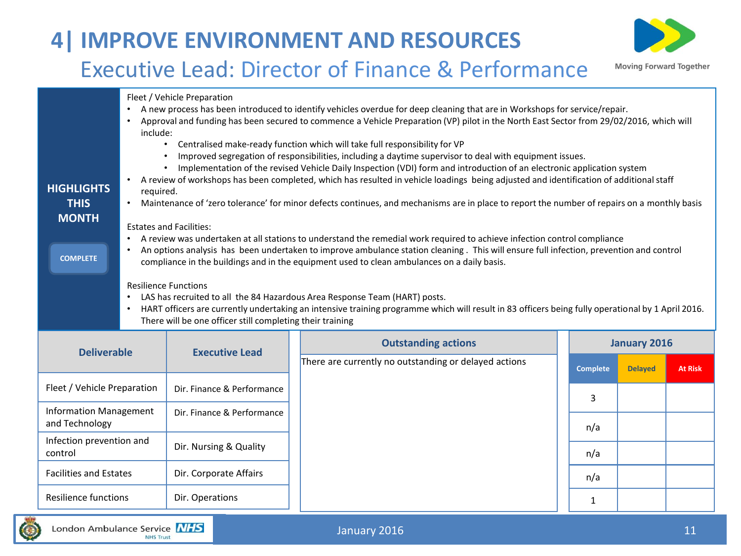# **4| IMPROVE ENVIRONMENT AND RESOURCES**

![](_page_10_Picture_1.jpeg)

#### Executive Lead: Director of Finance & Performance

Fleet / Vehicle Preparation

- A new process has been introduced to identify vehicles overdue for deep cleaning that are in Workshops for service/repair.
- Approval and funding has been secured to commence a Vehicle Preparation (VP) pilot in the North East Sector from 29/02/2016, which will include:
	- Centralised make-ready function which will take full responsibility for VP
	- Improved segregation of responsibilities, including a daytime supervisor to deal with equipment issues.
	- Implementation of the revised Vehicle Daily Inspection (VDI) form and introduction of an electronic application system
- A review of workshops has been completed, which has resulted in vehicle loadings being adjusted and identification of additional staff required.
	- Maintenance of 'zero tolerance' for minor defects continues, and mechanisms are in place to report the number of repairs on a monthly basis

#### Estates and Facilities:

**HIGHLIGHTS THIS MONTH**

**COMPLETE**

- A review was undertaken at all stations to understand the remedial work required to achieve infection control compliance
- An options analysis has been undertaken to improve ambulance station cleaning . This will ensure full infection, prevention and control compliance in the buildings and in the equipment used to clean ambulances on a daily basis.

Resilience Functions

- LAS has recruited to all the 84 Hazardous Area Response Team (HART) posts.
- HART officers are currently undertaking an intensive training programme which will result in 83 officers being fully operational by 1 April 2016. There will be one officer still completing their training

| <b>Deliverable</b>                              | <b>Executive Lead</b>      | <b>Outstanding actions</b>                            | <b>January 2016</b> |          |                |                |
|-------------------------------------------------|----------------------------|-------------------------------------------------------|---------------------|----------|----------------|----------------|
|                                                 |                            | There are currently no outstanding or delayed actions |                     | Complete | <b>Delayed</b> | <b>At Risk</b> |
| Fleet / Vehicle Preparation                     | Dir. Finance & Performance |                                                       |                     | 3        |                |                |
| <b>Information Management</b><br>and Technology | Dir. Finance & Performance |                                                       |                     | n/a      |                |                |
| Infection prevention and<br>control             | Dir. Nursing & Quality     |                                                       |                     | n/a      |                |                |
| <b>Facilities and Estates</b>                   | Dir. Corporate Affairs     |                                                       |                     | n/a      |                |                |
| Resilience functions                            | Dir. Operations            |                                                       |                     |          |                |                |

![](_page_10_Picture_18.jpeg)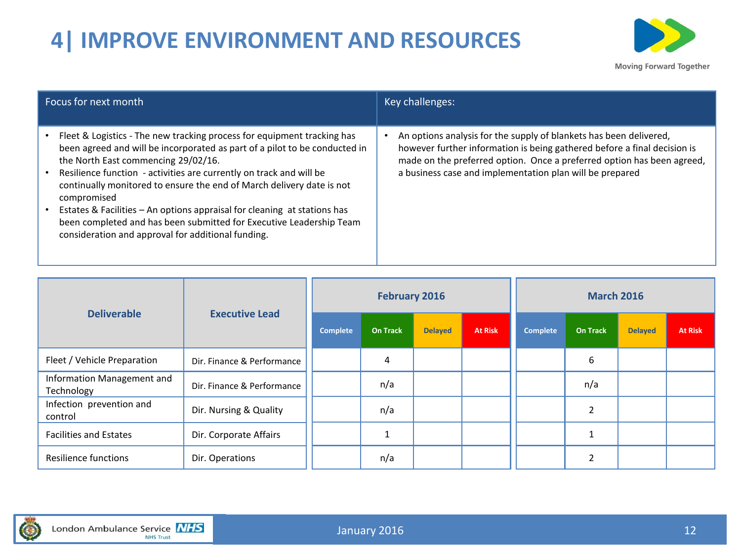# **4| IMPROVE ENVIRONMENT AND RESOURCES**

![](_page_11_Picture_1.jpeg)

| Focus for next month                                                                                                                                                                                                                                                                                                                                                                                                                                                                                                                                                 | Key challenges:                                                                                                                                                                                                                                                                      |
|----------------------------------------------------------------------------------------------------------------------------------------------------------------------------------------------------------------------------------------------------------------------------------------------------------------------------------------------------------------------------------------------------------------------------------------------------------------------------------------------------------------------------------------------------------------------|--------------------------------------------------------------------------------------------------------------------------------------------------------------------------------------------------------------------------------------------------------------------------------------|
| Fleet & Logistics - The new tracking process for equipment tracking has<br>been agreed and will be incorporated as part of a pilot to be conducted in<br>the North East commencing 29/02/16.<br>Resilience function - activities are currently on track and will be<br>continually monitored to ensure the end of March delivery date is not<br>compromised<br>Estates & Facilities - An options appraisal for cleaning at stations has<br>been completed and has been submitted for Executive Leadership Team<br>consideration and approval for additional funding. | An options analysis for the supply of blankets has been delivered,<br>however further information is being gathered before a final decision is<br>made on the preferred option. Once a preferred option has been agreed,<br>a business case and implementation plan will be prepared |

| <b>Deliverable</b>                       | <b>Executive Lead</b>      |          | <b>February 2016</b> |                |                | <b>March 2016</b> |                 |                |                |  |
|------------------------------------------|----------------------------|----------|----------------------|----------------|----------------|-------------------|-----------------|----------------|----------------|--|
|                                          |                            | Complete | <b>On Track</b>      | <b>Delayed</b> | <b>At Risk</b> | Complete          | <b>On Track</b> | <b>Delayed</b> | <b>At Risk</b> |  |
| Fleet / Vehicle Preparation              | Dir. Finance & Performance |          | 4                    |                |                |                   | 6               |                |                |  |
| Information Management and<br>Technology | Dir. Finance & Performance |          | n/a                  |                |                |                   | n/a             |                |                |  |
| Infection prevention and<br>control      | Dir. Nursing & Quality     |          | n/a                  |                |                |                   | 2               |                |                |  |
| <b>Facilities and Estates</b>            | Dir. Corporate Affairs     |          |                      |                |                |                   |                 |                |                |  |
| Resilience functions                     | Dir. Operations            |          | n/a                  |                |                |                   | ຳ               |                |                |  |

![](_page_11_Picture_4.jpeg)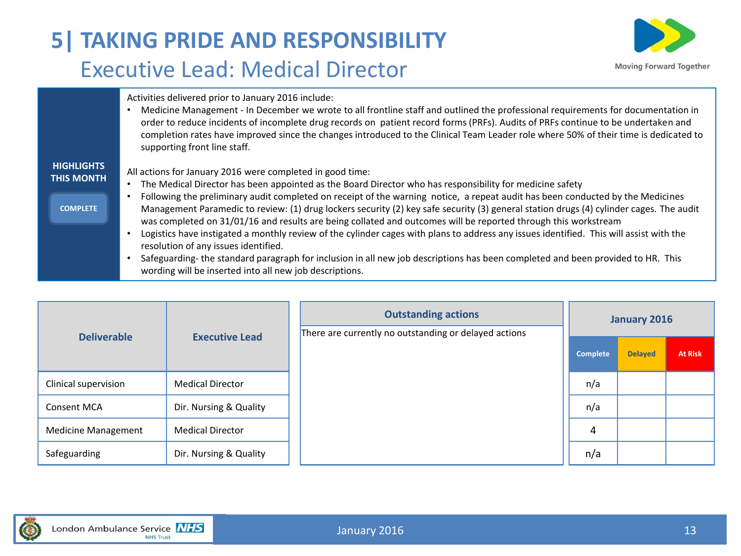### **5| TAKING PRIDE AND RESPONSIBILITY** Executive Lead: Medical Director

![](_page_12_Picture_1.jpeg)

Activities delivered prior to January 2016 include:

• Medicine Management - In December we wrote to all frontline staff and outlined the professional requirements for documentation in order to reduce incidents of incomplete drug records on patient record forms (PRFs). Audits of PRFs continue to be undertaken and completion rates have improved since the changes introduced to the Clinical Team Leader role where 50% of their time is dedicated to supporting front line staff.

#### **HIGHLIGHTS THIS MONTH**

All actions for January 2016 were completed in good time:

• The Medical Director has been appointed as the Board Director who has responsibility for medicine safety

#### **COMPLETE**

- Following the preliminary audit completed on receipt of the warning notice, a repeat audit has been conducted by the Medicines Management Paramedic to review: (1) drug lockers security (2) key safe security (3) general station drugs (4) cylinder cages. The audit was completed on 31/01/16 and results are being collated and outcomes will be reported through this workstream
- Logistics have instigated a monthly review of the cylinder cages with plans to address any issues identified. This will assist with the resolution of any issues identified.
- Safeguarding- the standard paragraph for inclusion in all new job descriptions has been completed and been provided to HR. This wording will be inserted into all new job descriptions.

| <b>Deliverable</b>         | <b>Executive Lead</b>   | <b>Outstanding actions</b><br>There are currently no outstanding or delayed actions |          | January 2016   |                |
|----------------------------|-------------------------|-------------------------------------------------------------------------------------|----------|----------------|----------------|
|                            |                         |                                                                                     | Complete | <b>Delayed</b> | <b>At Risk</b> |
| Clinical supervision       | <b>Medical Director</b> |                                                                                     | n/a      |                |                |
| Consent MCA                | Dir. Nursing & Quality  |                                                                                     | n/a      |                |                |
| <b>Medicine Management</b> | <b>Medical Director</b> |                                                                                     | 4        |                |                |
| Safeguarding               | Dir. Nursing & Quality  |                                                                                     | n/a      |                |                |

![](_page_12_Picture_12.jpeg)